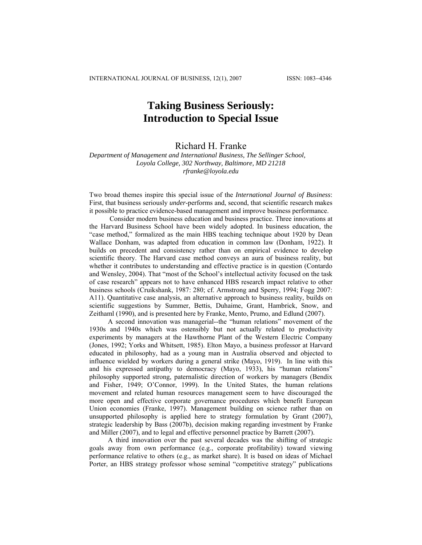# **Taking Business Seriously: Introduction to Special Issue**

# Richard H. Franke

*Department of Management and International Business, The Sellinger School, Loyola College, 302 Northway, Baltimore, MD 21218 [rfranke@loyola.edu](mailto:rfranke@loyola.edu)*

Two broad themes inspire this special issue of the *International Journal of Business*: First, that business seriously *under*-performs and, second, that scientific research makes it possible to practice evidence-based management and improve business performance.

 Consider modern business education and business practice. Three innovations at the Harvard Business School have been widely adopted. In business education, the "case method," formalized as the main HBS teaching technique about 1920 by Dean Wallace Donham, was adapted from education in common law (Donham, 1922). It builds on precedent and consistency rather than on empirical evidence to develop scientific theory. The Harvard case method conveys an aura of business reality, but whether it contributes to understanding and effective practice is in question (Contardo and Wensley, 2004). That "most of the School's intellectual activity focused on the task of case research" appears not to have enhanced HBS research impact relative to other business schools (Cruikshank, 1987: 280; cf. Armstrong and Sperry, 1994; Fogg 2007: A11). Quantitative case analysis, an alternative approach to business reality, builds on scientific suggestions by Summer, Bettis, Duhaime, Grant, Hambrick, Snow, and Zeithaml (1990), and is presented here by Franke, Mento, Prumo, and Edlund (2007).

A second innovation was managerial--the "human relations" movement of the 1930s and 1940s which was ostensibly but not actually related to productivity experiments by managers at the Hawthorne Plant of the Western Electric Company (Jones, 1992; Yorks and Whitsett, 1985). Elton Mayo, a business professor at Harvard educated in philosophy, had as a young man in Australia observed and objected to influence wielded by workers during a general strike (Mayo, 1919). In line with this and his expressed antipathy to democracy (Mayo, 1933), his "human relations" philosophy supported strong, paternalistic direction of workers by managers (Bendix and Fisher, 1949; O'Connor, 1999). In the United States, the human relations movement and related human resources management seem to have discouraged the more open and effective corporate governance procedures which benefit European Union economies (Franke, 1997). Management building on science rather than on unsupported philosophy is applied here to strategy formulation by Grant (2007), strategic leadership by Bass (2007b), decision making regarding investment by Franke and Miller (2007), and to legal and effective personnel practice by Barrett (2007).

A third innovation over the past several decades was the shifting of strategic goals away from own performance (e.g., corporate profitability) toward viewing performance relative to others (e.g., as market share). It is based on ideas of Michael Porter, an HBS strategy professor whose seminal "competitive strategy" publications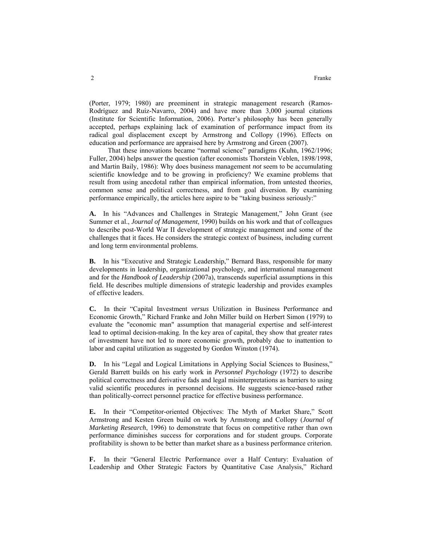(Porter, 1979; 1980) are preeminent in strategic management research (Ramos-Rodríguez and Ruíz-Navarro, 2004) and have more than 3,000 journal citations (Institute for Scientific Information, 2006). Porter's philosophy has been generally accepted, perhaps explaining lack of examination of performance impact from its radical goal displacement except by Armstrong and Collopy (1996). Effects on education and performance are appraised here by Armstrong and Green (2007).

That these innovations became "normal science" paradigms (Kuhn, 1962/1996; Fuller, 2004) helps answer the question (after economists Thorstein Veblen, 1898/1998, and Martin Baily, 1986): Why does business management *not* seem to be accumulating scientific knowledge and to be growing in proficiency? We examine problems that result from using anecdotal rather than empirical information, from untested theories, common sense and political correctness, and from goal diversion. By examining performance empirically, the articles here aspire to be "taking business seriously:"

**A.** In his "Advances and Challenges in Strategic Management," John Grant (see Summer et al., *Journal of Management*, 1990) builds on his work and that of colleagues to describe post-World War II development of strategic management and some of the challenges that it faces. He considers the strategic context of business, including current and long term environmental problems.

**B.** In his "Executive and Strategic Leadership," Bernard Bass, responsible for many developments in leadership, organizational psychology, and international management and for the *Handbook of Leadership* (2007a), transcends superficial assumptions in this field. He describes multiple dimensions of strategic leadership and provides examples of effective leaders.

**C.** In their "Capital Investment *versus* Utilization in Business Performance and Economic Growth," Richard Franke and John Miller build on Herbert Simon (1979) to evaluate the "economic man" assumption that managerial expertise and self-interest lead to optimal decision-making. In the key area of capital, they show that greater rates of investment have not led to more economic growth, probably due to inattention to labor and capital utilization as suggested by Gordon Winston (1974).

**D.** In his "Legal and Logical Limitations in Applying Social Sciences to Business," Gerald Barrett builds on his early work in *Personnel Psychology* (1972) to describe political correctness and derivative fads and legal misinterpretations as barriers to using valid scientific procedures in personnel decisions. He suggests science-based rather than politically-correct personnel practice for effective business performance.

**E.** In their "Competitor-oriented Objectives: The Myth of Market Share," Scott Armstrong and Kesten Green build on work by Armstrong and Collopy (*Journal of Marketing Research*, 1996) to demonstrate that focus on competitive rather than own performance diminishes success for corporations and for student groups. Corporate profitability is shown to be better than market share as a business performance criterion.

**F.** In their "General Electric Performance over a Half Century: Evaluation of Leadership and Other Strategic Factors by Quantitative Case Analysis," Richard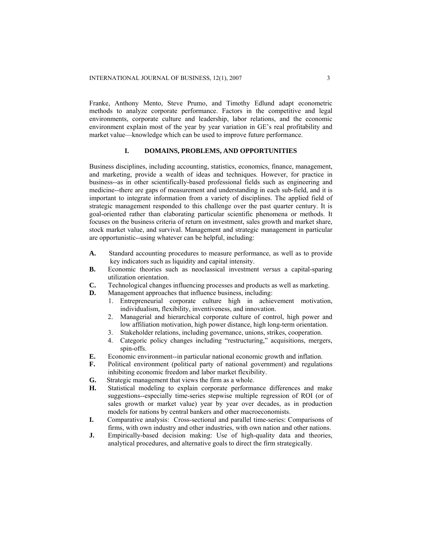Franke, Anthony Mento, Steve Prumo, and Timothy Edlund adapt econometric methods to analyze corporate performance. Factors in the competitive and legal environments, corporate culture and leadership, labor relations, and the economic environment explain most of the year by year variation in GE's real profitability and market value—knowledge which can be used to improve future performance.

#### **I. DOMAINS, PROBLEMS, AND OPPORTUNITIES**

Business disciplines, including accounting, statistics, economics, finance, management, and marketing, provide a wealth of ideas and techniques. However, for practice in business--as in other scientifically-based professional fields such as engineering and medicine--there are gaps of measurement and understanding in each sub-field, and it is important to integrate information from a variety of disciplines. The applied field of strategic management responded to this challenge over the past quarter century. It is goal-oriented rather than elaborating particular scientific phenomena or methods. It focuses on the business criteria of return on investment, sales growth and market share, stock market value, and survival. Management and strategic management in particular are opportunistic--using whatever can be helpful, including:

- **A.** Standard accounting procedures to measure performance, as well as to provide key indicators such as liquidity and capital intensity.
- **B.** Economic theories such as neoclassical investment *versus* a capital-sparing utilization orientation.
- **C.** Technological changes influencing processes and products as well as marketing.
- **D.** Management approaches that influence business, including:
	- 1. Entrepreneurial corporate culture high in achievement motivation, individualism, flexibility, inventiveness, and innovation.
	- 2. Managerial and hierarchical corporate culture of control, high power and low affiliation motivation, high power distance, high long-term orientation.
	- 3. Stakeholder relations, including governance, unions, strikes, cooperation.
	- 4. Categoric policy changes including "restructuring," acquisitions, mergers, spin-offs.
- **E.** Economic environment--in particular national economic growth and inflation.
- **F.** Political environment (political party of national government) and regulations inhibiting economic freedom and labor market flexibility.
- **G.** Strategic management that views the firm as a whole.
- **H.** Statistical modeling to explain corporate performance differences and make suggestions--especially time-series stepwise multiple regression of ROI (or of sales growth or market value) year by year over decades, as in production models for nations by central bankers and other macroeconomists.
- **I.** Comparative analysis: Cross-sectional and parallel time-series: Comparisons of firms, with own industry and other industries, with own nation and other nations.
- **J.** Empirically-based decision making: Use of high-quality data and theories, analytical procedures, and alternative goals to direct the firm strategically.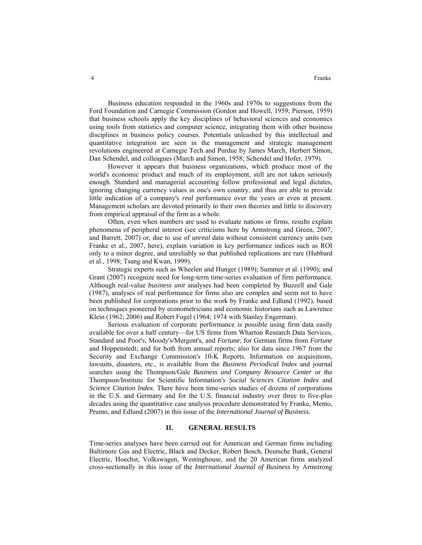Business education responded in the 1960s and 1970s to suggestions from the Ford Foundation and Carnegie Commission (Gordon and Howell, 1959; Pierson, 1959) that business schools apply the key disciplines of behavioral sciences and economics using tools from statistics and computer science, integrating them with other business disciplines in business policy courses. Potentials unleashed by this intellectual and quantitative integration are seen in the management and strategic management revolutions engineered at Carnegie Tech and Purdue by James March, Herbert Simon, Dan Schendel, and colleagues (March and Simon, 1958; Schendel and Hofer, 1979).

However it appears that business organizations, which produce most of the world's economic product and much of its employment, still are not taken seriously enough. Standard and managerial accounting follow professional and legal dictates, ignoring changing currency values in one's own country, and thus are able to provide little indication of a company's *real* performance over the years or even at present. Management scholars are devoted primarily to their own theories and little to discovery from empirical appraisal of the firm as a whole.

Often, even when numbers are used to evaluate nations or firms, results explain phenomena of peripheral interest (see criticisms here by Armstrong and Green, 2007, and Barrett, 2007) or, due to use of *unreal* data without consistent currency units (see Franke et al., 2007, here), explain variation in key performance indices such as ROI only to a minor degree, and unreliably so that published replications are rare (Hubbard et al., 1998; Tsang and Kwan, 1999).

Strategic experts such as Wheelen and Hunger (1989); Summer et al. (1990); and Grant (2007) recognize need for long-term time-series evaluation of firm performance. Although real-value *business unit* analyses had been completed by Buzzell and Gale (1987), analyses of real performance for firms also are complex and seem not to have been published for corporations prior to the work by Franke and Edlund (1992), based on techniques pioneered by econometricians and economic historians such as Lawrence Klein (1962; 2006) and Robert Fogel (1964; 1974 with Stanley Engerman).

Serious evaluation of corporate performance is possible using firm data easily available for over a half century—for US firms from Wharton Research Data Services, Standard and Poor's, Moody's/Mergent's, and *Fortune*; for German firms from *Fortune* and Hoppenstedt; and for both from annual reports; also for data since 1967 from the Security and Exchange Commission's 10-K Reports. Information on acquisitions, lawsuits, disasters, etc., is available from the *Business Periodical Index* and journal searches using the Thompson/Gale *Business and Company Resource Center* or the Thompson/Institute for Scientific Information's *Social Sciences Citation Index* and *Science Citation Index*. There have been time-series studies of dozens of corporations in the U.S. and Germany and for the U.S. financial industry over three to five-plus decades using the quantitative case analysis procedure demonstrated by Franke, Mento, Prumo, and Edlund (2007) in this issue of the *International Journal of Business.*

#### **II. GENERAL RESULTS**

Time-series analyses have been carried out for American and German firms including Baltimore Gas and Electric, Black and Decker, Robert Bosch, Deutsche Bank, General Electric, Hoechst, Volkswagen, Westinghouse, and the 20 American firms analyzed cross-sectionally in this issue of the *International Journal of Business* by Armstrong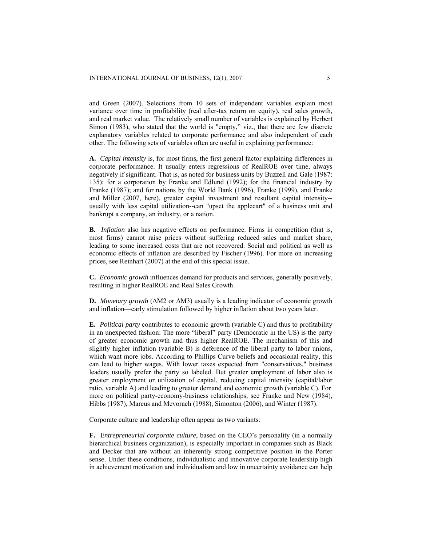and Green (2007). Selections from 10 sets of independent variables explain most variance over time in profitability (real after-tax return on equity), real sales growth, and real market value. The relatively small number of variables is explained by Herbert Simon (1983), who stated that the world is "empty," viz., that there are few discrete explanatory variables related to corporate performance and also independent of each other. The following sets of variables often are useful in explaining performance:

**A.** *Capital intensity* is, for most firms, the first general factor explaining differences in corporate performance. It usually enters regressions of RealROE over time, always negatively if significant. That is, as noted for business units by Buzzell and Gale (1987: 135); for a corporation by Franke and Edlund (1992); for the financial industry by Franke (1987); and for nations by the World Bank (1996), Franke (1999), and Franke and Miller (2007, here), greater capital investment and resultant capital intensity- usually with less capital utilization--can "upset the applecart" of a business unit and bankrupt a company, an industry, or a nation.

**B.** *Inflation* also has negative effects on performance. Firms in competition (that is, most firms) cannot raise prices without suffering reduced sales and market share, leading to some increased costs that are not recovered. Social and political as well as economic effects of inflation are described by Fischer (1996). For more on increasing prices, see Reinhart (2007) at the end of this special issue.

**C.** *Economic growth* influences demand for products and services, generally positively, resulting in higher RealROE and Real Sales Growth.

**D.** *Monetary growth* (ΔM2 or ΔM3) usually is a leading indicator of economic growth and inflation—early stimulation followed by higher inflation about two years later.

**E.** *Political party* contributes to economic growth (variable C) and thus to profitability in an unexpected fashion: The more "liberal" party (Democratic in the US) is the party of greater economic growth and thus higher RealROE. The mechanism of this and slightly higher inflation (variable B) is deference of the liberal party to labor unions, which want more jobs. According to Phillips Curve beliefs and occasional reality, this can lead to higher wages. With lower taxes expected from "conservatives," business leaders usually prefer the party so labeled. But greater employment of labor also is greater employment or utilization of capital, reducing capital intensity (capital/labor ratio, variable A) and leading to greater demand and economic growth (variable C). For more on political party-economy-business relationships, see Franke and New (1984), Hibbs (1987), Marcus and Mevorach (1988), Simonton (2006), and Winter (1987).

Corporate culture and leadership often appear as two variants:

**F.** E*ntrepreneurial corporate culture*, based on the CEO's personality (in a normally hierarchical business organization), is especially important in companies such as Black and Decker that are without an inherently strong competitive position in the Porter sense. Under these conditions, individualistic and innovative corporate leadership high in achievement motivation and individualism and low in uncertainty avoidance can help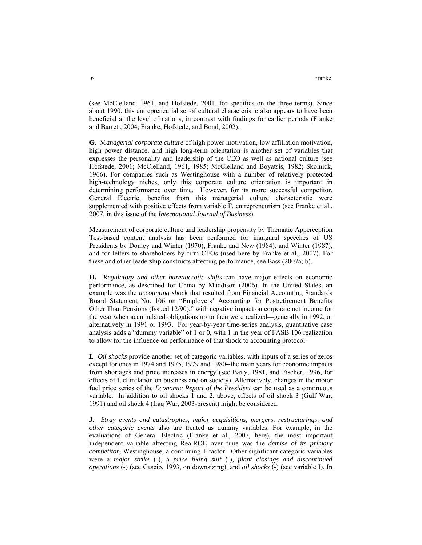(see McClelland, 1961, and Hofstede, 2001, for specifics on the three terms). Since about 1990, this entrepreneurial set of cultural characteristic also appears to have been beneficial at the level of nations, in contrast with findings for earlier periods (Franke and Barrett, 2004; Franke, Hofstede, and Bond, 2002).

**G.** M*anagerial corporate culture* of high power motivation, low affiliation motivation, high power distance, and high long-term orientation is another set of variables that expresses the personality and leadership of the CEO as well as national culture (see Hofstede, 2001; McClelland, 1961, 1985; McClelland and Boyatsis, 1982; Skolnick, 1966). For companies such as Westinghouse with a number of relatively protected high-technology niches, only this corporate culture orientation is important in determining performance over time. However, for its more successful competitor, General Electric, benefits from this managerial culture characteristic were supplemented with positive effects from variable F, entrepreneurism (see Franke et al., 2007, in this issue of the *International Journal of Business*).

Measurement of corporate culture and leadership propensity by Thematic Apperception Test-based content analysis has been performed for inaugural speeches of US Presidents by Donley and Winter (1970), Franke and New (1984), and Winter (1987), and for letters to shareholders by firm CEOs (used here by Franke et al., 2007). For these and other leadership constructs affecting performance, see Bass (2007a; b).

**H.** *Regulatory and other bureaucratic shifts* can have major effects on economic performance, as described for China by Maddison (2006). In the United States, an example was the *accounting shock* that resulted from Financial Accounting Standards Board Statement No. 106 on "Employers' Accounting for Postretirement Benefits Other Than Pensions (Issued 12/90)," with negative impact on corporate net income for the year when accumulated obligations up to then were realized—generally in 1992, or alternatively in 1991 or 1993. For year-by-year time-series analysis, quantitative case analysis adds a "dummy variable" of 1 or 0, with 1 in the year of FASB 106 realization to allow for the influence on performance of that shock to accounting protocol.

**I.** *Oil shocks* provide another set of categoric variables, with inputs of a series of zeros except for ones in 1974 and 1975, 1979 and 1980--the main years for economic impacts from shortages and price increases in energy (see Baily, 1981, and Fischer, 1996, for effects of fuel inflation on business and on society). Alternatively, changes in the motor fuel price series of the *Economic Report of the President* can be used as a continuous variable. In addition to oil shocks 1 and 2, above, effects of oil shock 3 (Gulf War, 1991) and oil shock 4 (Iraq War, 2003-present) might be considered.

**J.** *Stray events and catastrophes, major acquisitions, mergers, restructurings, and other categoric events* also are treated as dummy variables. For example, in the evaluations of General Electric (Franke et al., 2007, here), the most important independent variable affecting RealROE over time was the *demise of its primary competitor*, Westinghouse, a continuing + factor. Other significant categoric variables were a *major strike* (-), a *price fixing suit* (-), *plant closings and discontinued operations* (-) (see Cascio, 1993, on downsizing), and *oil shocks* (-) (see variable I). In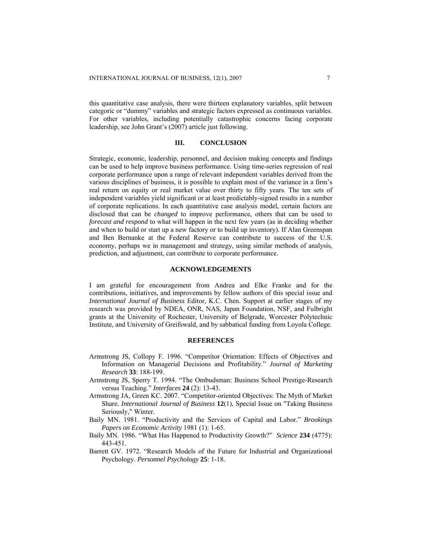this quantitative case analysis, there were thirteen explanatory variables, split between categoric or "dummy" variables and strategic factors expressed as continuous variables. For other variables, including potentially catastrophic concerns facing corporate leadership, see John Grant's (2007) article just following.

#### **III. CONCLUSION**

Strategic, economic, leadership, personnel, and decision making concepts and findings can be used to help improve business performance. Using time-series regression of real corporate performance upon a range of relevant independent variables derived from the various disciplines of business, it is possible to explain most of the variance in a firm's real return on equity or real market value over thirty to fifty years. The ten sets of independent variables yield significant or at least predictably-signed results in a number of corporate replications. In each quantitative case analysis model, certain factors are disclosed that can be *changed* to improve performance, others that can be used to *forecast and respond* to what will happen in the next few years (as in deciding whether and when to build or start up a new factory or to build up inventory). If Alan Greenspan and Ben Bernanke at the Federal Reserve can contribute to success of the U.S. economy, perhaps we in management and strategy, using similar methods of analysis, prediction, and adjustment, can contribute to corporate performance.

### **ACKNOWLEDGEMENTS**

I am grateful for encouragement from Andrea and Elke Franke and for the contributions, initiatives, and improvements by fellow authors of this special issue and *International Journal of Business* Editor, K.C. Chen. Support at earlier stages of my research was provided by NDEA, ONR, NAS, Japan Foundation, NSF, and Fulbright grants at the University of Rochester, University of Belgrade, Worcester Polytechnic Institute, and University of Greifswald, and by sabbatical funding from Loyola College.

## **REFERENCES**

- Armstrong JS, Collopy F. 1996. "Competitor Orientation: Effects of Objectives and Information on Managerial Decisions and Profitability." *Journal of Marketing Research* **33**: 188-199.
- Armstrong JS, Sperry T. 1994. "The Ombudsman: Business School Prestige-Research versus Teaching." *Interfaces* **24** (2): 13-43.
- Armstrong JA, Green KC. 2007. "Competitor-oriented Objectives: The Myth of Market Share. *International Journal of Business* **12**(1), Special Issue on "Taking Business Seriously," Winter.
- Baily MN. 1981. "Productivity and the Services of Capital and Labor." *Brookings Papers on Economic Activity* 1981 (1): 1-65.
- Baily MN. 1986. "What Has Happened to Productivity Growth?" *Science* **234** (4775): 443-451.
- Barrett GV. 1972. "Research Models of the Future for Industrial and Organizational Psychology. *Personnel Psychology* **25**: 1-18.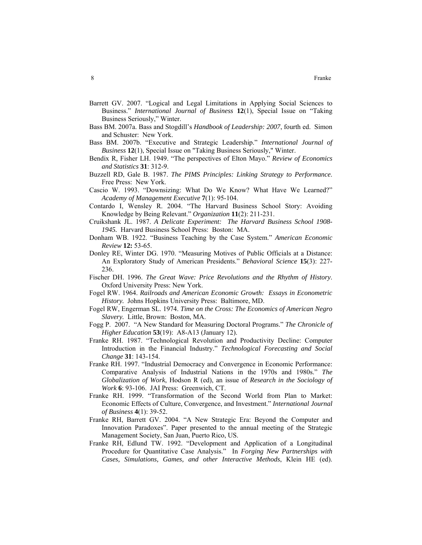- Barrett GV. 2007. "Logical and Legal Limitations in Applying Social Sciences to Business." *International Journal of Business* **12**(1), Special Issue on "Taking Business Seriously," Winter.
- Bass BM. 2007a. Bass and Stogdill's *Handbook of Leadership: 2007*, fourth ed. Simon and Schuster: New York.
- Bass BM. 2007b. "Executive and Strategic Leadership." *International Journal of Business* **12**(1), Special Issue on "Taking Business Seriously," Winter.
- Bendix R, Fisher LH. 1949. "The perspectives of Elton Mayo." *Review of Economics and Statistics* **31**: 312-9.
- Buzzell RD, Gale B. 1987. *The PIMS Principles: Linking Strategy to Performance*. Free Press: New York.
- Cascio W. 1993. "Downsizing: What Do We Know? What Have We Learned?" *Academy of Management Executive* **7**(1): 95-104.
- Contardo I, Wensley R. 2004. "The Harvard Business School Story: Avoiding Knowledge by Being Relevant." *Organization* **11**(2): 211-231.
- Cruikshank JL. 1987. *A Delicate Experiment: The Harvard Business School 1908- 1945.* Harvard Business School Press: Boston: MA.
- Donham WB. 1922. "Business Teaching by the Case System." *American Economic Review* **12:** 53-65.
- Donley RE, Winter DG. 1970. "Measuring Motives of Public Officials at a Distance: An Exploratory Study of American Presidents." *Behavioral Science* **15**(3): 227- 236.
- Fischer DH. 1996. *The Great Wave: Price Revolutions and the Rhythm of History*. Oxford University Press: New York.
- Fogel RW. 1964. *Railroads and American Economic Growth: Essays in Econometric History.* Johns Hopkins University Press: Baltimore, MD.
- Fogel RW, Engerman SL. 1974. *Time on the Cross: The Economics of American Negro Slavery.* Little, Brown: Boston, MA.
- Fogg P. 2007. "A New Standard for Measuring Doctoral Programs." *The Chronicle of Higher Education* **53**(19): A8-A13 (January 12).
- Franke RH. 1987. "Technological Revolution and Productivity Decline: Computer Introduction in the Financial Industry." *Technological Forecasting and Social Change* **31**: 143-154.
- Franke RH. 1997. "Industrial Democracy and Convergence in Economic Performance: Comparative Analysis of Industrial Nations in the 1970s and 1980s." *The Globalization of Work*, Hodson R (ed), an issue of *Research in the Sociology of Work* **6**: 93-106. JAI Press: Greenwich, CT.
- Franke RH. 1999. "Transformation of the Second World from Plan to Market: Economic Effects of Culture, Convergence, and Investment." *International Journal of Business* **4**(1): 39-52.
- Franke RH, Barrett GV. 2004. "A New Strategic Era: Beyond the Computer and Innovation Paradoxes". Paper presented to the annual meeting of the Strategic Management Society, San Juan, Puerto Rico, US.
- Franke RH, Edlund TW. 1992. "Development and Application of a Longitudinal Procedure for Quantitative Case Analysis." In *Forging New Partnerships with Cases, Simulations, Games, and other Interactive Methods*, Klein HE (ed).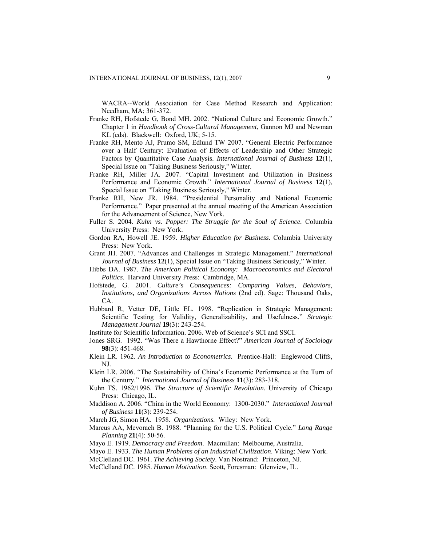WACRA--World Association for Case Method Research and Application: Needham, MA; 361-372.

- Franke RH, Hofstede G, Bond MH. 2002. "National Culture and Economic Growth." Chapter 1 in *Handbook of Cross-Cultural Management*, Gannon MJ and Newman KL (eds). Blackwell: Oxford, UK; 5-15.
- Franke RH, Mento AJ, Prumo SM, Edlund TW 2007. "General Electric Performance over a Half Century: Evaluation of Effects of Leadership and Other Strategic Factors by Quantitative Case Analysis. *International Journal of Business* **12**(1), Special Issue on "Taking Business Seriously," Winter.
- Franke RH, Miller JA. 2007. "Capital Investment and Utilization in Business Performance and Economic Growth." *International Journal of Business* **12**(1), Special Issue on "Taking Business Seriously," Winter.
- Franke RH, New JR. 1984. "Presidential Personality and National Economic Performance." Paper presented at the annual meeting of the American Association for the Advancement of Science, New York.
- Fuller S. 2004. *Kuhn vs. Popper: The Struggle for the Soul of Science.* Columbia University Press: New York.
- Gordon RA, Howell JE. 1959. *Higher Education for Business.* Columbia University Press: New York.
- Grant JH. 2007. "Advances and Challenges in Strategic Management." *International Journal of Business* **12**(1), Special Issue on "Taking Business Seriously," Winter.
- Hibbs DA. 1987. *The American Political Economy: Macroeconomics and Electoral Politics*. Harvard University Press: Cambridge, MA.
- Hofstede, G. 2001. *Culture's Consequences: Comparing Values, Behaviors, Institutions, and Organizations Across Nations* (2nd ed). Sage: Thousand Oaks, CA.
- Hubbard R, Vetter DE, Little EL. 1998. "Replication in Strategic Management: Scientific Testing for Validity, Generalizability, and Usefulness." *Strategic Management Journal* **19**(3): 243-254.
- Institute for Scientific Information. 2006. Web of Science's SCI and SSCI.
- Jones SRG. 1992. "Was There a Hawthorne Effect?" *American Journal of Sociology*  **98**(3): 451-468.
- Klein LR. 1962. *An Introduction to Econometrics.* Prentice-Hall: Englewood Cliffs, NJ.
- Klein LR. 2006. "The Sustainability of China's Economic Performance at the Turn of the Century." *International Journal of Business* **11**(3): 283-318.
- Kuhn TS. 1962/1996. *The Structure of Scientific Revolution*. University of Chicago Press: Chicago, IL.
- Maddison A. 2006. "China in the World Economy: 1300-2030." *International Journal of Business* **11**(3): 239-254.
- March JG, Simon HA. 1958. *Organizations.* Wiley: New York.
- Marcus AA, Mevorach B. 1988. "Planning for the U.S. Political Cycle." *Long Range Planning* **21**(4): 50-56.

Mayo E. 1919. *Democracy and Freedom*. Macmillan: Melbourne, Australia.

- Mayo E. 1933. *The Human Problems of an Industrial Civilization*. Viking: New York.
- McClelland DC. 1961. *The Achieving Society*. Van Nostrand: Princeton, NJ.
- McClelland DC. 1985. *Human Motivation*. Scott, Foresman: Glenview, IL.